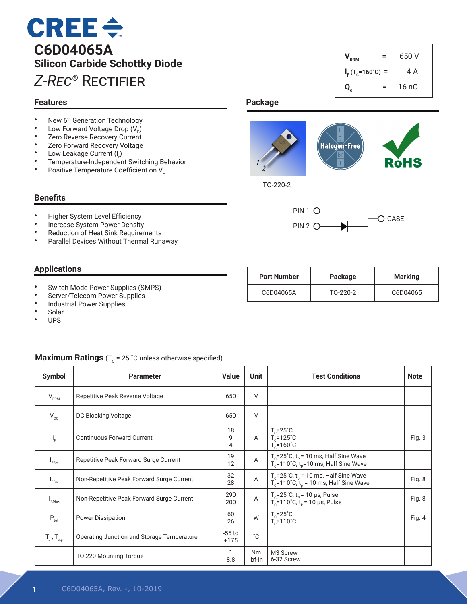# $CREE \div$ **C6D04065A Silicon Carbide Schottky Diode** *Z-Rec®* Rectifier

#### **Features**

- New 6<sup>th</sup> Generation Technology<br>• Low Forward Voltage Drop (V)
- Low Forward Voltage Drop  $(V_F)$
- Zero Reverse Recovery Current<br>• Zero Forward Pecovery Voltage
- Zero Forward Recovery Voltage<br>• Low Leakage Current (1)
- Low Leakage Current  $(I_r)$
- Temperature-Independent Switching Behavior<br>• Positive Temperature Coefficient on V
- Positive Temperature Coefficient on V<sub>F</sub>

#### **Benefits**

- Higher System Level Efficiency
- Increase System Power Density<br>• Reduction of Heat Sink Requirer
- Reduction of Heat Sink Requirements<br>• Parallel Devices Without Thermal Run
- Parallel Devices Without Thermal Runaway

#### **Applications**

- Switch Mode Power Supplies (SMPS)
- Server/Telecom Power Supplies
- Industrial Power Supplies<br>• Solar
- **Solar**
- UPS

#### **Maximum Ratings** ( $T_c$  = 25 °C unless otherwise specified)

| Symbol                            | <b>Parameter</b>                           | <b>Value</b>       | <b>Unit</b>  | <b>Test Conditions</b>                                                                                              | <b>Note</b> |
|-----------------------------------|--------------------------------------------|--------------------|--------------|---------------------------------------------------------------------------------------------------------------------|-------------|
| $V_{RRM}$                         | Repetitive Peak Reverse Voltage            | 650                | $\vee$       |                                                                                                                     |             |
| $V_{\text{DC}}$                   | DC Blocking Voltage                        | 650                | V            |                                                                                                                     |             |
| $I_{\rm F}$                       | <b>Continuous Forward Current</b>          | 18<br>9<br>4       | $\mathsf{A}$ | $\begin{bmatrix} T_c = 25^{\circ}C \\ T_c = 125^{\circ}C \end{bmatrix}$<br>$T_c = 160^{\circ}$ C                    | Fig. 3      |
| $I_{FRM}$                         | Repetitive Peak Forward Surge Current      | 19<br>12           | $\mathsf{A}$ | $T_c$ =25°C, t <sub>p</sub> = 10 ms, Half Sine Wave<br>T <sub>c</sub> =110°C, t <sub>p</sub> =10 ms, Half Sine Wave |             |
| I <sub>FSM</sub>                  | Non-Repetitive Peak Forward Surge Current  | 32<br>28           | A            | $T_c$ =25°C, $t_p$ = 10 ms, Half Sine Wave<br>$T_c$ =110°C, $t_p$ = 10 ms, Half Sine Wave                           | Fig. 8      |
| I <sub>F.Max</sub>                | Non-Repetitive Peak Forward Surge Current  | 290<br>200         | $\mathsf A$  | $T_c$ =25°C, t <sub>p</sub> = 10 μs, Pulse<br>T <sub>c</sub> =110°C, t <sub>p</sub> = 10 μs, Pulse                  | Fig. 8      |
| $P_{\text{tot}}$                  | Power Dissipation                          | 60<br>26           | W            | $T_c = 25^{\circ}C$<br>$T_c = 110^{\circ}$ C                                                                        | Fig. 4      |
| $T_{\text{J}}$ , $T_{\text{stq}}$ | Operating Junction and Storage Temperature | $-55$ to<br>$+175$ | $^{\circ}$ C |                                                                                                                     |             |
|                                   | TO-220 Mounting Torque                     | 8.8                | Nm<br>lbf-in | M3 Screw<br>6-32 Screw                                                                                              |             |



**Qc**

 $V_{RRM}$  = 650 V

 $I_F$ (T<sub>c</sub>=160°C) = 4 A

 $= 16 nC$ 

TO-220-2



| <b>Part Number</b> | Package  | Marking  |  |
|--------------------|----------|----------|--|
| C6D04065A          | TO-220-2 | C6D04065 |  |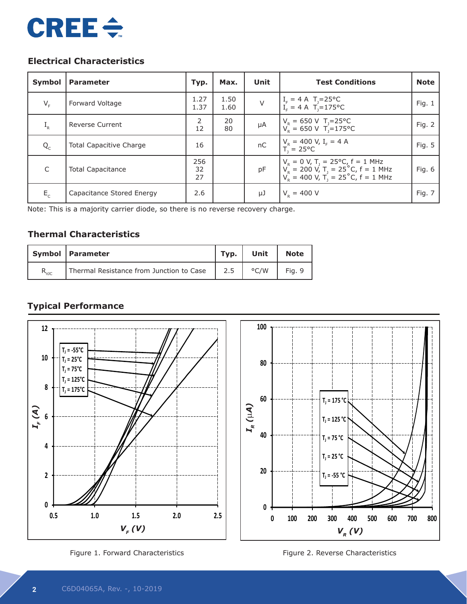

# **Electrical Characteristics**

| Symbol       | <b>Parameter</b>               | Typ.                | Max.         | Unit   | <b>Test Conditions</b>                                                                                                                                                | <b>Note</b> |
|--------------|--------------------------------|---------------------|--------------|--------|-----------------------------------------------------------------------------------------------------------------------------------------------------------------------|-------------|
| $V_F$        | Forward Voltage                | 1.27<br>1.37        | 1.50<br>1.60 | $\vee$ | $I_F = 4 A T_J = 25^{\circ}C$<br>$I_E = 4 A T_J = 175^{\circ}C$                                                                                                       | Fig. $1$    |
| $I_R$        | <b>Reverse Current</b>         | $\mathcal{P}$<br>12 | 20<br>80     | μA     | $V_R = 650 \text{ V}$ T <sub>J</sub> =25 °C<br>$V_R = 650 \text{ V}$ T <sub>J</sub> =175 °C                                                                           | Fig. 2      |
| $Q_{c}$      | <b>Total Capacitive Charge</b> | 16                  |              | nC     | $V_R = 400 V, I_F = 4 A$<br>$T = 25^{\circ}C$                                                                                                                         | Fig. 5      |
| $\mathsf{C}$ | <b>Total Capacitance</b>       | 256<br>32<br>27     |              | pF     | $V_R = 0$ V, T <sub>J</sub> = 25°C, f = 1 MHz<br>V <sub>R</sub> = 200 V, T <sub>J</sub> = 25°C, f = 1 MHz<br>V <sub>R</sub> = 400 V, T <sub>J</sub> = 25°C, f = 1 MHz | Fig. 6      |
| $E_c$        | Capacitance Stored Energy      | 2.6                 |              | μJ     | $V_{\rm p} = 400$ V                                                                                                                                                   | Fig. 7      |

Note: This is a majority carrier diode, so there is no reverse recovery charge.

## **Thermal Characteristics**

|                | Symbol   Parameter                       | Typ. | Unit          | <b>Note</b> |
|----------------|------------------------------------------|------|---------------|-------------|
| $R_{\theta$ JC | Thermal Resistance from Junction to Case | 2.5  | $\degree$ C/W | Fig. 9      |

# **Typical Performance**



Figure 1. Forward Characteristics Figure 2. Reverse Characteristics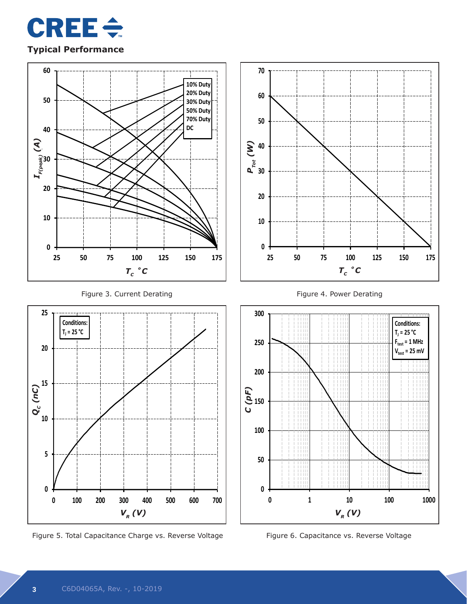

## **Typical Performance**





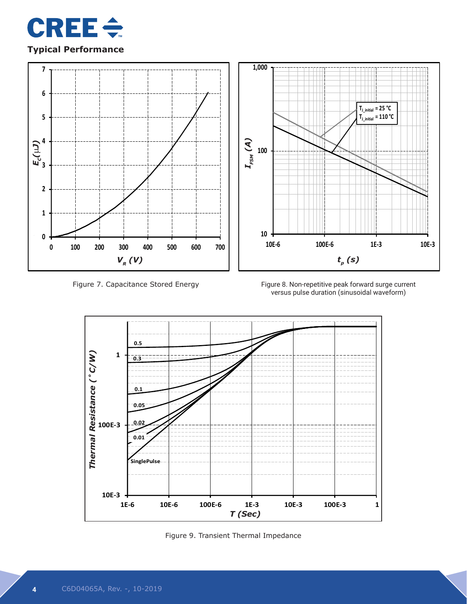

## **Typical Performance**



Figure 7. Capacitance Stored Energy

Figure 8. Non-repetitive peak forward surge current versus pulse duration (sinusoidal waveform)



Figure 9. Transient Thermal Impedance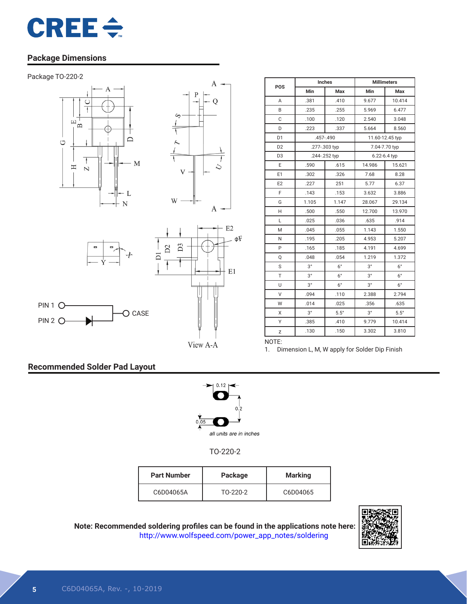

#### **Package Dimensions**









O CASE



| POS            | Inches        |               | <b>Millimeters</b> |             |  |
|----------------|---------------|---------------|--------------------|-------------|--|
|                | Min           | Max           | Min                | Max         |  |
| A              | .381          | .410          | 9.677              | 10.414      |  |
| B              | .235          | .255          | 5.969              | 6.477       |  |
| C              | .100          | .120          | 2.540              | 3.048       |  |
| D              | .223          | .337          | 5.664              | 8.560       |  |
| D <sub>1</sub> | .457-.490     |               | 11.60-12.45 typ    |             |  |
| D <sub>2</sub> |               | .277-.303 typ | 7.04-7.70 typ      |             |  |
| D <sub>3</sub> | .244-.252 typ |               | 6.22-6.4 typ       |             |  |
| E              | .590          | .615          | 14.986             | 15.621      |  |
| E1             | .302          | .326          | 7.68               | 8.28        |  |
| E <sub>2</sub> | .227          | 251           | 5.77               | 6.37        |  |
| F              | .143          | .153          | 3.632              | 3.886       |  |
| G              | 1.105         | 1.147         | 28.067             | 29.134      |  |
| H              | .500          | .550          | 12.700             | 13.970      |  |
| L              | .025          | .036          | .635               | .914        |  |
| M              | .045          | .055          | 1.143              | 1.550       |  |
| N              | .195          | .205          | 4.953              | 5.207       |  |
| P              | .165          | .185          | 4.191              | 4.699       |  |
| Q              | .048          | .054          | 1.219              | 1.372       |  |
| S              | $3^{\circ}$   | $6^{\circ}$   | 3°                 | $6^{\circ}$ |  |
| T              | $3^{\circ}$   | $6^{\circ}$   | $3^{\circ}$        | $6^{\circ}$ |  |
| U              | $3^{\circ}$   | $6^{\circ}$   | $3^{\circ}$        | $6^{\circ}$ |  |
| V              | .094          | .110          | 2.388              | 2.794       |  |
| W              | .014          | .025          | .356               | .635        |  |
| X              | $3^{\circ}$   | $5.5^\circ$   | $3^{\circ}$        | $5.5^\circ$ |  |
| Υ              | .385          | .410          | 9.779              | 10.414      |  |
| Z              | .130          | .150          | 3.302              | 3.810       |  |

View A-A

1. Dimension L, M, W apply for Solder Dip Finish

NOTE:

### **Recommended Solder Pad Layout**

PIN 2 O-



TO-220-2

| <b>Part Number</b> | Package  | <b>Marking</b> |
|--------------------|----------|----------------|
| C6D04065A          | TO-220-2 | C6D04065       |



**Note: Recommended soldering profiles can be found in the applications note here:** http://www.wolfspeed.com/power\_app\_notes/soldering